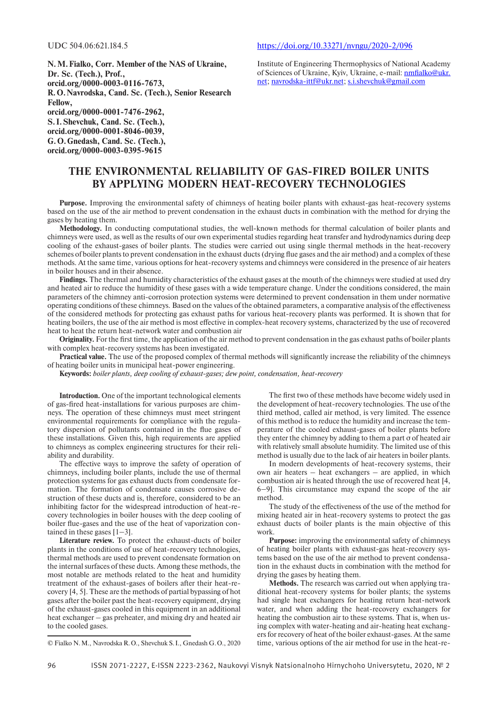**N.M. Fialko, Corr. Member of the NAS of Ukraine, Dr. Sc. (Tech.), Prof., orcid.org/0000-0003-0116-7673, R. O. Navrodska, Cand. Sc. (Tech.), Senior Research Fellow, orcid.org/0000-0001-7476-2962, S. I.Shevchuk, Cand. Sc. (Tech.), orcid.org/0000-0001-8046-0039, G. O.Gnedash, Cand. Sc. (Tech.), orcid.org/0000-0003-0395-9615**

## UDC 504.06:621.184.5 <https://doi.org/10.33271/nvngu/2020-2/096>

Institute of Engineering Thermophysics of National Academy of Sciences of Ukraine, Kyiv, Ukraine, e-mail: [nmfialko@ukr.](mailto:nmfialko@ukr.net) [net;](mailto:nmfialko@ukr.net) [navrodska-ittf@ukr.net](mailto:navrodska-ittf@ukr.net); [s.i.shevchuk@gmail.com](mailto:s.i.shevchuk@gmail.com)

# **The environmental reliability of gas-fired boiler units by applying modern heat-recovery technologies**

**Purpose.** Improving the environmental safety of chimneys of heating boiler plants with exhaust-gas heat-recovery systems based on the use of the air method to prevent condensation in the exhaust ducts in combination with the method for drying the gases by heating them.

**Methodology.** In conducting computational studies, the well-known methods for thermal calculation of boiler plants and chimneys were used, as well as the results of our own experimental studies regarding heat transfer and hydrodynamics during deep cooling of the exhaust-gases of boiler plants. The studies were carried out using single thermal methods in the heat-recovery schemes of boiler plants to prevent condensation in the exhaust ducts (drying flue gases and the air method) and a complex of these methods. At the same time, various options for heat-recovery systems and chimneys were considered in the presence of air heaters in boiler houses and in their absence.

**Findings.** The thermal and humidity characteristics of the exhaust gases at the mouth of the chimneys were studied at used dry and heated air to reduce the humidity of these gases with a wide temperature change. Under the conditions considered, the main parameters of the chimney anti-corrosion protection systems were determined to prevent condensation in them under normative operating conditions of these chimneys. Based on the values of the obtained parameters, a comparative analysis of the effectiveness of the considered methods for protecting gas exhaust paths for various heat-recovery plants was performed. It is shown that for heating boilers, the use of the air method is most effective in complex-heat recovery systems, characterized by the use of recovered heat to heat the return heat-network water and combustion air

**Originality.** For the first time, the application of the air method to prevent condensation in the gas exhaust paths of boiler plants with complex heat-recovery systems has been investigated.

**Practical value.** The use of the proposed complex of thermal methods will significantly increase the reliability of the chimneys of heating boiler units in municipal heat-power engineering.

**Keywords:** *boiler plants, deep cooling of exhaust-gases; dew point, condensation, heat-recovery*

**Introduction.** One of the important technological elements of gas-fired heat-installations for various purposes are chimneys. The operation of these chimneys must meet stringent environmental requirements for compliance with the regulatory dispersion of pollutants contained in the flue gases of these installations. Given this, high requirements are applied to chimneys as complex engineering structures for their reliability and durability.

The effective ways to improve the safety of operation of chimneys, including boiler plants, include the use of thermal protection systems for gas exhaust ducts from condensate formation. The formation of condensate causes corrosive destruction of these ducts and is, therefore, considered to be an inhibiting factor for the widespread introduction of heat-recovery technologies in boiler houses with the deep cooling of boiler flue-gases and the use of the heat of vaporization contained in these gases  $[1-3]$ .

**Literature review.** To protect the exhaust-ducts of boiler plants in the conditions of use of heat-recovery technologies, thermal methods are used to prevent condensate formation on the internal surfaces of these ducts. Among these methods, the most notable are methods related to the heat and humidity treatment of the exhaust-gases of boilers after their heat-recovery [4, 5]. These are the methods of partial bypassing of hot gases after the boiler past the heat-recovery equipment, drying of the exhaust-gases cooled in this equipment in an additional heat exchanger – gas preheater, and mixing dry and heated air to the cooled gases.

The first two of these methods have become widely used in the development of heat-recovery technologies. The use of the third method, called air method, is very limited. The essence of this method is to reduce the humidity and increase the temperature of the cooled exhaust-gases of boiler plants before they enter the chimney by adding to them a part σ of heated air with relatively small absolute humidity. The limited use of this method is usually due to the lack of air heaters in boiler plants.

In modern developments of heat-recovery systems, their own air heaters – heat exchangers – are applied, in which combustion air is heated through the use of recovered heat [4, 6‒9]. This circumstance may expand the scope of the air method.

The study of the effectiveness of the use of the method for mixing heated air in heat-recovery systems to protect the gas exhaust ducts of boiler plants is the main objective of this work.

**Purpose:** improving the environmental safety of chimneys of heating boiler plants with exhaust-gas heat-recovery systems based on the use of the air method to prevent condensation in the exhaust ducts in combination with the method for drying the gases by heating them.

**Methods.** The research was carried out when applying traditional heat-recovery systems for boiler plants; the systems had single heat exchangers for heating return heat-network water, and when adding the heat-recovery exchangers for heating the combustion air to these systems. That is, when using complex with water-heating and air-heating heat exchangers for recovery of heat of the boiler exhaust-gases. At the same time, various options of the air method for use in the heat-re

<sup>©</sup> Fialko N.M., Navrodska R.O., Shevchuk S.I., Gnedash G.O., 2020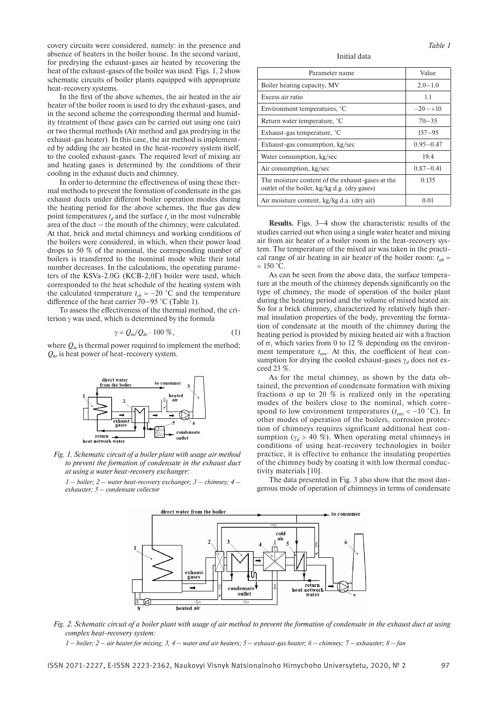covery circuits were considered, namely: in the presence and absence of heaters in the boiler house. In the second variant, for predrying the exhaust-gases air heated by recovering the heat of the exhaust-gases of the boiler was used. Figs. 1, 2 show schematic circuits of boiler plants equipped with appropriate heat-recovery systems.

In the first of the above schemes, the air heated in the air heater of the boiler room is used to dry the exhaust-gases, and in the second scheme the corresponding thermal and humidity treatment of these gases can be carried out using one (air) or two thermal methods (Air method and gas predrying in the exhaust-gas heater). In this case, the air method is implemented by adding the air heated in the heat-recovery system itself, to the cooled exhaust-gases. The required level of mixing air and heating gases is determined by the conditions of their cooling in the exhaust ducts and chimney.

In order to determine the effectiveness of using these thermal methods to prevent the formation of condensate in the gas exhaust ducts under different boiler operation modes during the heating period for the above schemes, the flue gas dew point temperatures  $t_d$  and the surface  $t_s$  in the most vulnerable area of the duct – the mouth of the chimney, were calculated. At that, brick and metal chimneys and working conditions of the boilers were considered, in which, when their power load drops to 50 % of the nominal, the corresponding number of boilers is transferred to the nominal mode while their total number decreases. In the calculations, the operating parameters of the KSVa-2.0G (КСВ-2,0Г) boiler were used, which corresponded to the heat schedule of the heating system with the calculated temperature  $t_{ch} = -20$  °C and the temperature difference of the heat carrier 70‒95 °C (Table 1).

To assess the effectiveness of the thermal method, the criterion  $\gamma$  was used, which is determined by the formula

$$
\gamma = Q_m / Q_{hr} \cdot 100 \%, \qquad (1)
$$

where  $Q_m$  is thermal power required to implement the method;  $Q_{hr}$  is heat power of heat-recovery system.



*Fig. 1. Schematic circuit of a boiler plant with usage air method to prevent the formation of condensate in the exhaust duct at using a water heat-recovery exchanger:*

*1 – boiler; 2 – water heat-recovery exchanger; 3 – chimney; 4 – exhauster; 5 – condensate collector*

### Initial data

| Parameter name                                                                                   | Value         |
|--------------------------------------------------------------------------------------------------|---------------|
| Boiler heating capacity, MV                                                                      | $2.0 - 1.0$   |
| Excess air ratio                                                                                 | 1.1           |
| Environment temperatures, °C                                                                     | $-20 - +10$   |
| Return water temperature, °C                                                                     | $70 - 35$     |
| Exhaust-gas temperature, °C                                                                      | $157 - 95$    |
| Exhaust-gas consumption, kg/sec                                                                  | $0.95 - 0.47$ |
| Water consumption, kg/sec                                                                        | 19.4          |
| Air consumption, kg/sec                                                                          | $0.87 - 0.41$ |
| The moisture content of the exhaust-gases at the<br>outlet of the boiler, kg/kg d.g. (dry gases) | 0.135         |
| Air moisture content, kg/kg d.a. (dry air)                                                       | 0.01          |

**Results.** Figs. 3‒4 show the characteristic results of the studies carried out when using a single water heater and mixing air from air heater of a boiler room in the heat-recovery system. The temperature of the mixed air was taken in the practical range of air heating in air heater of the boiler room:  $t_{ab}$  =  $= 150 °C$ .

As can be seen from the above data, the surface temperature at the mouth of the chimney depends significantly on the type of chimney, the mode of operation of the boiler plant during the heating period and the volume of mixed heated air. So for a brick chimney, characterized by relatively high thermal insulation properties of the body, preventing the formation of condensate at the mouth of the chimney during the heating period is provided by mixing heated air with a fraction of σ, which varies from 0 to 12 % depending on the environment temperature  $t_{env}$ . At this, the coefficient of heat consumption for drying the cooled exhaust-gases γ*d* does not exceed 23 %.

As for the metal chimney, as shown by the data obtained, the prevention of condensate formation with mixing fractions  $\sigma$  up to 20 % is realized only in the operating modes of the boilers close to the nominal, which correspond to low environment temperatures  $(t_{env} < -10$  °C). In other modes of operation of the boilers, corrosion protection of chimneys requires significant additional heat consumption ( $\gamma_d > 40\%$ ). When operating metal chimneys in conditions of using heat-recovery technologies in boiler practice, it is effective to enhance the insulating properties of the chimney body by coating it with low thermal conductivity materials [10].

The data presented in Fig. 3 also show that the most dangerous mode of operation of chimneys in terms of condensate



*Fig. 2. Schematic circuit of a boiler plant with usage of air method to prevent the formation of condensate in the exhaust duct at using complex heat-recovery system:*

*1 – boiler; 2 – air heater for mixing; 3, 4 – water and air heaters; 5 – exhaust-gas heater; 6 – chimney; 7 – exhauster; 8 – fan*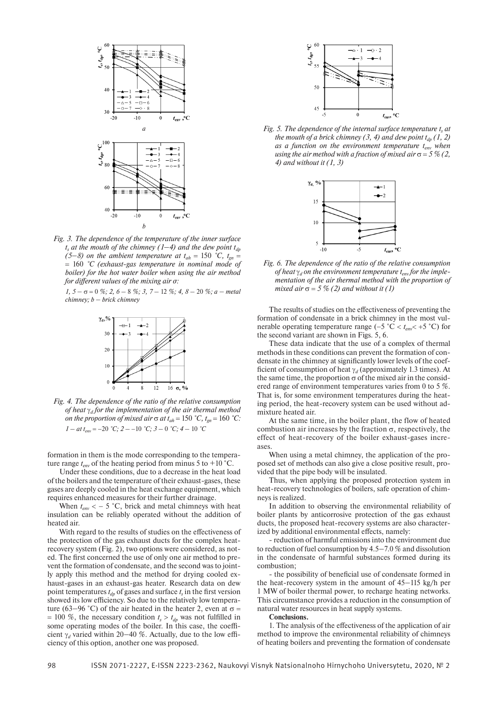

*Fig. 3. The dependence of the temperature of the inner surface*   $t_s$  *at the mouth of the chimney (1–4) and the dew point*  $t_{dp}$ *(5–8) on the ambient temperature at*  $t_{ah} = 150$  *°C,*  $t_{gn} =$ = 160 *°C (exhaust-gas temperature in nominal mode of boiler) for the hot water boiler when using the air method for different values of the mixing air σ:*

*1, 5 ‒* σ = 0 *%; 2, 6 –* 8 *%; 3, 7 –* 12 *%; 4, 8 –* 20 *%; a ‒ metal chimney; b ‒ brick chimney*



*Fig. 4. The dependence of the ratio of the relative consumption of heat* γ*d for the implementation of the air thermal method on the proportion of mixed air*  $\sigma$  *at*  $t_{ah} = 150$  °C,  $t_{gn} = 160$  °C: *1* – at  $t_{env} = -20$   $^{\circ}C$ ; 2 – -10  $^{\circ}C$ ; 3 – 0  $^{\circ}C$ ; 4 – 10  $^{\circ}C$ 

formation in them is the mode corresponding to the temperature range  $t_{env}$  of the heating period from minus 5 to +10 °C.

Under these conditions, due to a decrease in the heat load of the boilers and the temperature of their exhaust-gases, these gases are deeply cooled in the heat exchange equipment, which requires enhanced measures for their further drainage.

When  $t_{env} < -5$  °C, brick and metal chimneys with heat insulation can be reliably operated without the addition of heated air.

With regard to the results of studies on the effectiveness of the protection of the gas exhaust ducts for the complex heatrecovery system (Fig. 2), two options were considered, as noted. The first concerned the use of only one air method to prevent the formation of condensate, and the second was to jointly apply this method and the method for drying cooled exhaust-gases in an exhaust-gas heater. Research data on dew point temperatures  $t_{dn}$  of gases and surface  $t_s$  in the first version showed its low efficiency. So due to the relatively low temperature (63–96 °C) of the air heated in the heater 2, even at  $\sigma$  = = 100 %, the necessary condition  $t_s > t_{dp}$  was not fulfilled in some operating modes of the boiler. In this case, the coefficient  $\gamma_d$  varied within 20–40 %. Actually, due to the low efficiency of this option, another one was proposed.



*Fig. 5. The dependence of the internal surface temperature*  $t<sub>s</sub>$  *at the mouth of a brick chimney (3, 4) and dew point*  $t_{dp}$  *(1, 2) as a function on the environment temperature tenv when using the air method with a fraction of mixed air*  $\sigma$  = 5  $\%$  (2, *4) and without it (1, 3)*



*Fig. 6. The dependence of the ratio of the relative consumption of heat* γ<sub>*d*</sub> *on the environment temperature t<sub>env</sub> for the implementation of the air thermal method with the proportion of mixed air*  $\sigma$  = 5 % (2) *and without it (1)* 

The results of studies on the effectiveness of preventing the formation of condensate in a brick chimney in the most vulnerable operating temperature range ( $-5$ °C <  $t_{env}$ <  $+5$ °C) for the second variant are shown in Figs. 5, 6.

These data indicate that the use of a complex of thermal methods in these conditions can prevent the formation of condensate in the chimney at significantly lower levels of the coefficient of consumption of heat γ*d* (approximately 1.3 times). At the same time, the proportion  $\sigma$  of the mixed air in the considered range of environment temperatures varies from 0 to 5 %. That is, for some environment temperatures during the heating period, the heat-recovery system can be used without admixture heated air.

At the same time, in the boiler plant, the flow of heated combustion air increases by the fraction  $\sigma$ , respectively, the effect of heat-recovery of the boiler exhaust-gases increases.

When using a metal chimney, the application of the proposed set of methods can also give a close positive result, provided that the pipe body will be insulated.

Thus, when applying the proposed protection system in heat-recovery technologies of boilers, safe operation of chimneys is realized.

In addition to observing the environmental reliability of boiler plants by anticorrosive protection of the gas exhaust ducts, the proposed heat-recovery systems are also characterized by additional environmental effects, namely:

- reduction of harmful emissions into the environment due to reduction of fuel consumption by  $4.5-7.0\%$  and dissolution in the condensate of harmful substances formed during its combustion;

- the possibility of beneficial use of condensate formed in the heat-recovery system in the amount of  $45-115$  kg/h per 1 MW of boiler thermal power, to recharge heating networks. This circumstance provides a reduction in the consumption of natural water resources in heat supply systems.

#### **Conclusions.**

1. The analysis of the effectiveness of the application of air method to improve the environmental reliability of chimneys of heating boilers and preventing the formation of condensate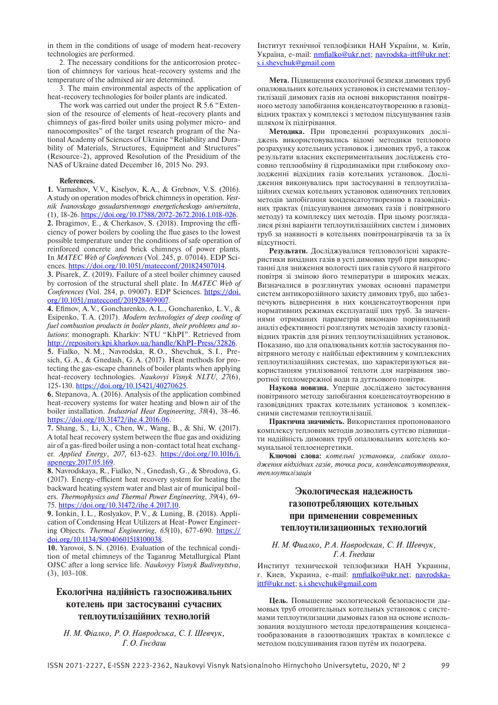in them in the conditions of usage of modern heat-recovery technologies are performed.

2. The necessary conditions for the anticorrosion protection of chimneys for various heat-recovery systems and the temperature of the admixed air are determined.

3. The main environmental aspects of the application of heat-recovery technologies for boiler plants are indicated.

The work was carried out under the project R 5.6 "Extension of the resource of elements of heat-recovery plants and chimneys of gas-fired boiler units using polymer micro- and nanocomposites" of the target research program of the National Academy of Sciences of Ukraine "Reliability and Durability of Materials, Structures, Equipment and Structures" (Resource-2), approved Resolution of the Presidium of the NAS of Ukraine dated December 16, 2015 No. 293.

#### **References.**

**1.** Varnashov, V.V., Kiselyov, K.A., & Grebnov, V.S. (2016). Astudy on operation modes of brick chimneys in operation. *Vestnik Ivanovskogo gosudarstvennogo energeticheskogo universiteta*, (1), 18-26. <https://doi.org/10.17588/2072-2672.2016.1.018-026>. **2.** Ibragimov, E., & Cherkasov, S. (2018). Improving the efficiency of power boilers by cooling the flue gases to the lowest possible temperature under the conditions of safe operation of reinforced concrete and brick chimneys of power plants. In *MATEC Web of Conferences* (Vol. 245, p. 07014). EDP Sciences. [https://doi.org/10.1051/matecconf/201824507014.](https://doi.org/10.1051/matecconf/201824507014)

**3.** Pisarek, Z. (2019). Failure of a steel boiler chimney caused by corrosion of the structural shell plate. In *MATEC Web of Conferences* (Vol. 284, p. 09007). EDP Sciences. [https://doi.](https://doi.org/10.1051/matecconf/201928409007) [org/10.1051/matecconf/201928409007](https://doi.org/10.1051/matecconf/201928409007).

**4.** Efimov, A.V., Goncharenko, A.L., Goncharenko, L.V., & Esipenko, T.A. (2017). *Modern technologies of deep cooling of fuel combustion products in boiler plants, their problems and solutions*: monograph. Kharkiv: NTU "KhPI". Retrieved from [http://repository.kpi.kharkov.ua/handle/KhPI-Press/32826.](http://repository.kpi.kharkov.ua/handle/KhPI-Press/32826)

**5.** Fialko, N.M., Navrodska, R.O., Shevchuk, S.I., Presich, G.A., & Gnedash, G.A. (2017). Heat methods for protecting the gas-escape channels of boiler plants when applying heat-recovery technologies. *Naukovyi Visnyk NLTU*, *27*(6), 125-130. [https://doi.org/10.15421/40270625.](https://doi.org/10.15421/40270625)

**6.** Stepanova, A. (2016). Analysis of the application combined heat-recovery systems for water heating and blown air of the boiler installation. *Industrial Heat Engineering*, *38*(4), 38-46. [https://doi.org/10.31472/ihe.4.2016.06.](https://doi.org/10.31472/ihe.4.2016.06)

**7.** Shang, S., Li, X., Chen, W., Wang, B., & Shi, W. (2017). A total heat recovery system between the flue gas and oxidizing air of a gas-fired boiler using a non-contact total heat exchanger. *Applied Energy*, *207*, 613-623. [https://doi.org/10.1016/j.](https://doi.org/10.1016/j.apenergy.2017.05.169) [apenergy.2017.05.169](https://doi.org/10.1016/j.apenergy.2017.05.169).

**8.** Navrodskaya, R., Fialko, N., Gnedash, G., & Sbrodova, G. (2017). Energy-efficient heat recovery system for heating the backward heating system water and blast air of municipal boilers. *Thermophysics and Thermal Power Engineering*, *39*(4), 69-75. [https://doi.org/10.31472/ihe.4.2017.10]( https://doi.org/10.31472/ihe.4.2017.10).

**9.** Ionkin, I.L., Roslyakov, P.V., & Luning, B. (2018). Application of Condensing Heat Utilizers at Heat-Power Engineering Objects. *Thermal Engineering*, *65*(10), 677-690. [https://](https://doi.org/10.1134/S0040601518100038) [doi.org/10.1134/S0040601518100038.](https://doi.org/10.1134/S0040601518100038)

**10.** Yarovoi, S.N. (2016). Evaluation of the technical condition of metal chimneys of the Taganrog Metallurgical Plant OJSC after a long service life. *Naukovyy Visnyk Budivnytstva*, (3), 103-108.

## **Екологічна надійність газоспоживальних котелень при застосуванні сучасних теплоутилізаційних технологій**

## *Н.М.Фіалко, Р.О.Навродська, С. І.Шевчук, Г.О.Гнєдаш*

Інститут технічної теплофізики НАН України, м. Київ, Україна, e-mail: [nmfialko@ukr.net](mailto:nmfialko@ukr.net); [navrodska-ittf@ukr.net;](mailto:navrodska-ittf@ukr.net) [s.i.shevchuk@gmail.com](mailto:s.i.shevchuk@gmail.com)

**Мета.** Підвищення екологічної безпеки димових труб опалювальних котельних установок із системами теплоутилізації димових газів на основі використання повітряного методу запобігання конденсатоутворенню в газовідвідних трактах у комплексі з методом підсушування газів шляхом їх підігрівання.

**Методика.** При проведенні розрахункових досліджень використовувались відомі методики теплового розрахунку котельних установок і димових труб, а також результати власних експериментальних досліджень стосовно теплообміну й гідродинаміки при глибокому охолодженні відхідних газів котельних установок. Дослідження виконувались при застосуванні в теплоутилізаційних схемах котельних установок одиночних теплових методів запобігання конденсатоутворенню в газовідвідних трактах (підсушування димових газів і повітряного методу) та комплексу цих методів. При цьому розглядалися різні варіанти теплоутилізаційних систем і димових труб за наявності в котельнях повітронагрівачів та за їх відсутності.

**Результати.** Досліджувалися тепловологісні характеристики вихідних газів в усті димових труб при використанні для зниження вологості цих газів сухого й нагрітого повітря зі зміною його температури в широких межах. Визначалися в розглянутих умовах основні параметри систем антикорозійного захисту димових труб, що забезпечують відвернення в них конденсатоутворення при нормативних режимах експлуатації цих труб. За значеннями отриманих параметрів виконано порівняльний аналіз ефективності розглянутих методів захисту газовідвідних трактів для різних теплоутилізаційних установок. Показано, що для опалювальних котлів застосування повітряного методу є найбільш ефективним у комплексних теплоутилізаційних системах, що характеризуються використанням утилізованої теплоти для нагрівання зворотної тепломережної води та дуттьового повітря.

**Наукова новизна.** Уперше досліджено застосування повітряного методу запобігання конденсатоутворенню в газовідвідних трактах котельних установок з комплексними системами теплоутилізації.

**Практична значимість.** Використання пропонованого комплексу теплових методів дозволить суттєво підвищити надійність димових труб опалювальних котелень комунальної теплоенергетики.

**Ключові слова:** *котельні установки, глибоке охолодження відхідних газів, точка роси, конденсатоутворення, теплоутилізація*

# **Экологическая надежность газопотребляющих котельных при применении современных теплоутилизационных технологий**

## *Н.М.Фиалко, Р.А.Навродская, С.И.Шевчук, Г.А.Гнедаш*

Институт технической теплофизики НАН Украины, г. Киев, Украина, e-mail: **[nmfialko@ukr.net](mailto:nmfialko@ukr.net)**; [navrodska](mailto:navrodska-ittf@ukr.net)[ittf@ukr.net;](mailto:navrodska-ittf@ukr.net) [s.i.shevchuk@gmail.com](mailto:s.i.shevchuk@gmail.com)

**Цель.** Повышение экологической безопасности дымовых труб отопительных котельных установок с системами теплоутилизации дымовых газов на основе использования воздушного метода предотвращения конденсатообразования в газоотводящих трактах в комплексе с методом подсушивания газов путём их подогрева.